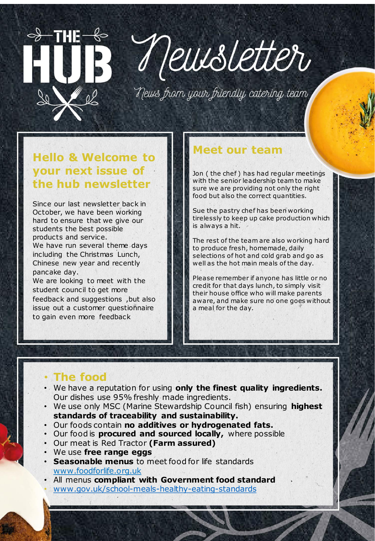## Veussetter

News from your friendly catering team

#### **Hello & Welcome to your next issue of the hub newsletter**

<del>◇ THE</del>

Since our last newsletter back in October, we have been working hard to ensure that we give our students the best possible products and service. We have run several theme days including the Christmas Lunch, Chinese new year and recently pancake day.

We are looking to meet with the student council to get more feedback and suggestions ,but also issue out a customer questionnaire to gain even more feedback

### **Meet our team**

Jon (the chef) has had regular meetings with the senior leadership team to make sure we are providing not only the right food but also the correct quantities.

Sue the pastry chef has been working tirelessly to keep up cake production which is always a hit.

The rest of the team are also working hard to produce fresh, homemade, daily selections of hot and cold grab and go as well as the hot main meals of the day.

Please remember if anyone has little or no credit for that days lunch, to simply visit their house office who will make parents aware, and make sure no one goes without a meal for the day.

#### • **The food**

- We have a reputation for using **only the finest quality ingredients.**  Our dishes use 95% freshly made ingredients.
- We use only MSC (Marine Stewardship Council fish) ensuring **highest standards of traceability and sustainability.**
- Our foods contain **no additives or hydrogenated fats.**
- Our food is **procured and sourced locally,** where possible
- Our meat is Red Tractor **(Farm assured)**
- We use **free range eggs**
- **Seasonable menus** to meet food for life standards [www.foodforlife.org.uk](http://www.foodforlife.org.uk/)
- All menus **compliant with Government food standard** • [www.gov.uk/school-meals-healthy-eating-standards](http://www.gov.uk/school-meals-healthy-eating-standards)